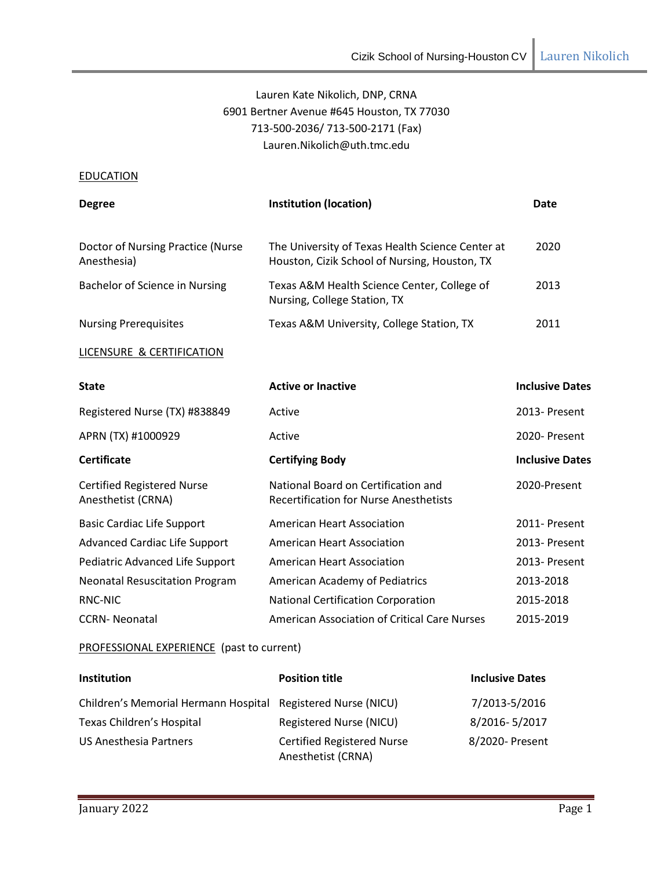# Lauren Kate Nikolich, DNP, CRNA 6901 Bertner Avenue #645 Houston, TX 77030 713-500-2036/ 713-500-2171 (Fax[\)](mailto:Lauren.Nikolich@uth.tmc.edu) [Lauren.Nikolich@uth.tmc.edu](mailto:Lauren.Nikolich@uth.tmc.edu)

# **EDUCATION**

| <b>Degree</b>                                           | <b>Institution (location)</b>                                                                     | <b>Date</b>            |
|---------------------------------------------------------|---------------------------------------------------------------------------------------------------|------------------------|
| Doctor of Nursing Practice (Nurse<br>Anesthesia)        | The University of Texas Health Science Center at<br>Houston, Cizik School of Nursing, Houston, TX | 2020                   |
| Bachelor of Science in Nursing                          | Texas A&M Health Science Center, College of<br>2013<br>Nursing, College Station, TX               |                        |
| <b>Nursing Prerequisites</b>                            | 2011<br>Texas A&M University, College Station, TX                                                 |                        |
| LICENSURE & CERTIFICATION                               |                                                                                                   |                        |
| <b>State</b>                                            | <b>Active or Inactive</b>                                                                         | <b>Inclusive Dates</b> |
| Registered Nurse (TX) #838849                           | Active                                                                                            | 2013- Present          |
| APRN (TX) #1000929                                      | Active                                                                                            | 2020- Present          |
| <b>Certificate</b>                                      | <b>Certifying Body</b>                                                                            | <b>Inclusive Dates</b> |
| <b>Certified Registered Nurse</b><br>Anesthetist (CRNA) | National Board on Certification and<br><b>Recertification for Nurse Anesthetists</b>              | 2020-Present           |
| <b>Basic Cardiac Life Support</b>                       | <b>American Heart Association</b>                                                                 | 2011- Present          |
| <b>Advanced Cardiac Life Support</b>                    | <b>American Heart Association</b>                                                                 | 2013- Present          |
| Pediatric Advanced Life Support                         | <b>American Heart Association</b>                                                                 | 2013- Present          |
| <b>Neonatal Resuscitation Program</b>                   | American Academy of Pediatrics                                                                    | 2013-2018              |
| RNC-NIC                                                 | <b>National Certification Corporation</b>                                                         | 2015-2018              |
| <b>CCRN-Neonatal</b>                                    | <b>American Association of Critical Care Nurses</b>                                               | 2015-2019              |

# PROFESSIONAL EXPERIENCE (past to current)

| <b>Institution</b>                                           | <b>Position title</b>                                   | <b>Inclusive Dates</b> |
|--------------------------------------------------------------|---------------------------------------------------------|------------------------|
| Children's Memorial Hermann Hospital Registered Nurse (NICU) |                                                         | 7/2013-5/2016          |
| Texas Children's Hospital                                    | Registered Nurse (NICU)                                 | 8/2016-5/2017          |
| <b>US Anesthesia Partners</b>                                | <b>Certified Registered Nurse</b><br>Anesthetist (CRNA) | 8/2020- Present        |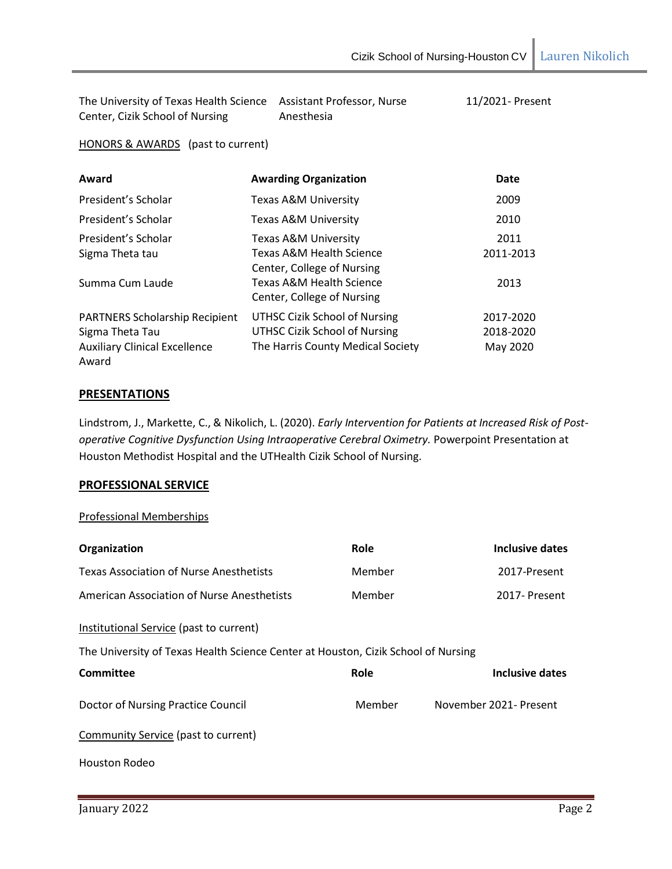| The University of Texas Health Science Assistant Professor, Nurse |            | 11/2021- Present |
|-------------------------------------------------------------------|------------|------------------|
| Center, Cizik School of Nursing                                   | Anesthesia |                  |

HONORS & AWARDS (past to current)

| Award                                 | <b>Awarding Organization</b>         | Date      |
|---------------------------------------|--------------------------------------|-----------|
| President's Scholar                   | Texas A&M University                 | 2009      |
| President's Scholar                   | Texas A&M University                 | 2010      |
| President's Scholar                   | Texas A&M University                 | 2011      |
| Sigma Theta tau                       | Texas A&M Health Science             | 2011-2013 |
|                                       | Center, College of Nursing           |           |
| Summa Cum Laude                       | Texas A&M Health Science             | 2013      |
|                                       | Center, College of Nursing           |           |
| <b>PARTNERS Scholarship Recipient</b> | <b>UTHSC Cizik School of Nursing</b> | 2017-2020 |
| Sigma Theta Tau                       | UTHSC Cizik School of Nursing        | 2018-2020 |
| <b>Auxiliary Clinical Excellence</b>  | The Harris County Medical Society    | May 2020  |
| Award                                 |                                      |           |

### **PRESENTATIONS**

Lindstrom, J., Markette, C., & Nikolich, L. (2020). *Early Intervention for Patients at Increased Risk of Postoperative Cognitive Dysfunction Using Intraoperative Cerebral Oximetry.* Powerpoint Presentation at Houston Methodist Hospital and the UTHealth Cizik School of Nursing.

### **PROFESSIONAL SERVICE**

### Professional Memberships

| Organization                                                                      | Role   | Inclusive dates        |  |
|-----------------------------------------------------------------------------------|--------|------------------------|--|
| <b>Texas Association of Nurse Anesthetists</b>                                    | Member | 2017-Present           |  |
| American Association of Nurse Anesthetists                                        | Member | 2017- Present          |  |
| Institutional Service (past to current)                                           |        |                        |  |
| The University of Texas Health Science Center at Houston, Cizik School of Nursing |        |                        |  |
| Committee                                                                         | Role   | Inclusive dates        |  |
| Doctor of Nursing Practice Council                                                | Member | November 2021- Present |  |
| Community Service (past to current)                                               |        |                        |  |
| Houston Rodeo                                                                     |        |                        |  |